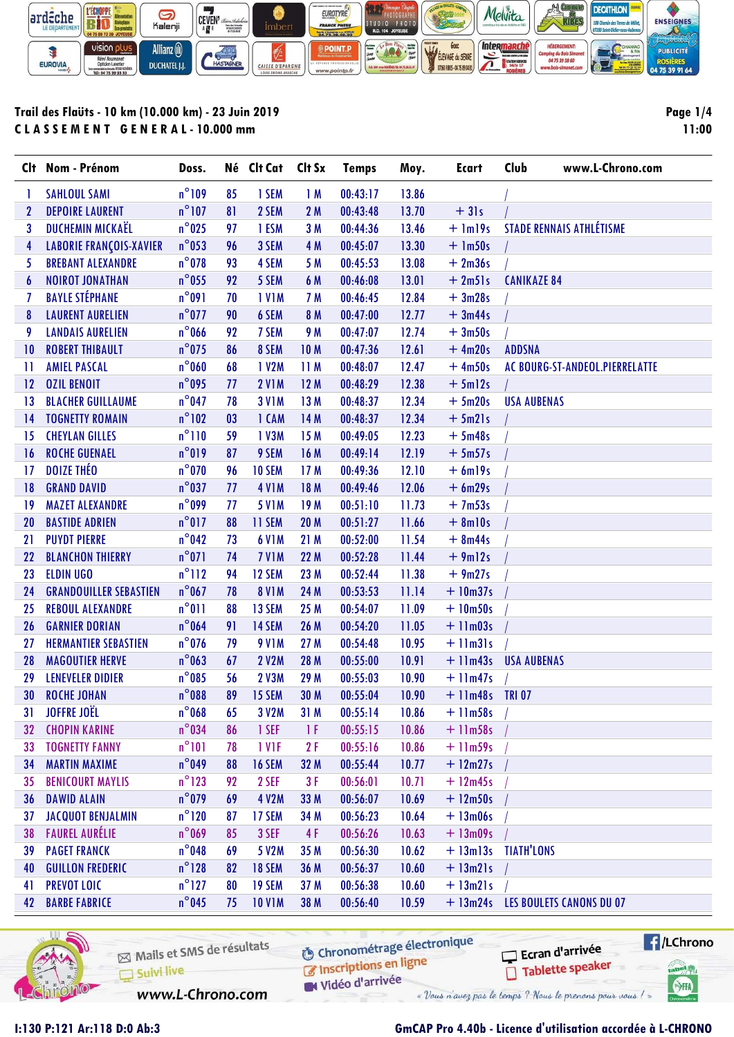

## Trail des Flaüts - 10 km (10.000 km) - 23 Juin 2019 CLASSEMENT GENERAL-10.000 mm

Page  $1/4$ 11:00

|              | Clt Nom - Prénom               | Doss.           |    | Né Clt Cat    | Clt Sx | <b>Temps</b> | Moy.  | <b>Ecart</b>          | Club<br>www.L-Chrono.com          |
|--------------|--------------------------------|-----------------|----|---------------|--------|--------------|-------|-----------------------|-----------------------------------|
|              | <b>SAHLOUL SAMI</b>            | $n^{\circ}109$  | 85 | 1 SEM         | 1M     | 00:43:17     | 13.86 |                       |                                   |
| $\mathbf{2}$ | <b>DEPOIRE LAURENT</b>         | $n^{\circ}$ 107 | 81 | 2 SEM         | 2M     | 00:43:48     | 13.70 | $+31s$                |                                   |
| 3            | DUCHEMIN MICKAËL               | $n^{\circ}$ 025 | 97 | 1 ESM         | 3M     | 00:44:36     | 13.46 | $+$ 1m19s             | <b>STADE RENNAIS ATHLÉTISME</b>   |
| 4            | <b>LABORIE FRANÇOIS-XAVIER</b> | $n^{\circ}$ 053 | 96 | 3 SEM         | 4 M    | 00:45:07     | 13.30 | $+$ 1m50s             |                                   |
| 5            | <b>BREBANT ALEXANDRE</b>       | $n^{\circ}$ 078 | 93 | 4 SEM         | 5 M    | 00:45:53     | 13.08 | $+2m36s$              |                                   |
| 6            | <b>NOIROT JONATHAN</b>         | $n^{\circ}$ 055 | 92 | 5 SEM         | 6 M    | 00:46:08     | 13.01 | $+2m51s$              | <b>CANIKAZE 84</b>                |
| 7            | <b>BAYLE STÉPHANE</b>          | $n^{\circ}091$  | 70 | <b>IVIM</b>   | 7 M    | 00:46:45     | 12.84 | $+3m28s$              |                                   |
| 8            | <b>LAURENT AURELIEN</b>        | $n^{\circ}$ 077 | 90 | 6 SEM         | 8 M    | 00:47:00     | 12.77 | $+3m44s$              |                                   |
| 9            | <b>LANDAIS AURELIEN</b>        | $n^{\circ}$ 066 | 92 | 7 SEM         | 9 M    | 00:47:07     | 12.74 | $+3m50s$              |                                   |
| 10           | <b>ROBERT THIBAULT</b>         | $n^{\circ}$ 075 | 86 | 8 SEM         | 10 M   | 00:47:36     | 12.61 | $+4m20s$              | <b>ADDSNA</b>                     |
| $\mathbf{1}$ | <b>AMIEL PASCAL</b>            | $n^{\circ}$ 060 | 68 | 1 V2M         | 11M    | 00:48:07     | 12.47 | $+4m50s$              | AC BOURG-ST-ANDEOL.PIERRELATTE    |
| 12           | <b>OZIL BENOIT</b>             | $n^{\circ}$ 095 | 77 | <b>2 V1M</b>  | 12M    | 00:48:29     | 12.38 | $+5m12s$              |                                   |
| 13           | <b>BLACHER GUILLAUME</b>       | $n^{\circ}$ 047 | 78 | <b>3 V1M</b>  | 13 M   | 00:48:37     | 12.34 | $+5m20s$              | <b>USA AUBENAS</b>                |
| 14           | <b>TOGNETTY ROMAIN</b>         | $n^{\circ}102$  | 03 | 1 CAM         | 14 M   | 00:48:37     | 12.34 | $+5m21s$              |                                   |
| 15           | <b>CHEYLAN GILLES</b>          | $n^{\circ}110$  | 59 | 1 V3M         | 15 M   | 00:49:05     | 12.23 | $+5m48s$              |                                   |
| 16           | <b>ROCHE GUENAEL</b>           | $n^{\circ}019$  | 87 | 9 SEM         | 16 M   | 00:49:14     | 12.19 | $+5m57s$              |                                   |
| 17           | <b>DOIZE THEO</b>              | $n^{\circ}$ 070 | 96 | <b>10 SEM</b> | 17 M   | 00:49:36     | 12.10 | $+ 6m$ <sup>19s</sup> |                                   |
| 18           | <b>GRAND DAVID</b>             | $n^{\circ}$ 037 | 77 | <b>4 V1 M</b> | 18 M   | 00:49:46     | 12.06 | $+6m29s$              |                                   |
| 19           | <b>MAZET ALEXANDRE</b>         | $n^{\circ}$ 099 | 77 | <b>5 V1M</b>  | 19 M   | 00:51:10     | 11.73 | $+7m53s$              |                                   |
| 20           | <b>BASTIDE ADRIEN</b>          | $n^{\circ}017$  | 88 | 11 SEM        | 20 M   | 00:51:27     | 11.66 | $+ 8$ ml0s            |                                   |
| 21           | <b>PUYDT PIERRE</b>            | $n^{\circ}$ 042 | 73 | <b>6 V1M</b>  | 21 M   | 00:52:00     | 11.54 | $+ 8m44s$             |                                   |
| 22           | <b>BLANCHON THIERRY</b>        | $n^{\circ}071$  | 74 | <b>7 V1M</b>  | 22 M   | 00:52:28     | 11.44 | $+9m12s$              |                                   |
| 23           | <b>ELDIN UGO</b>               | $n^{\circ}112$  | 94 | 12 SEM        | 23 M   | 00:52:44     | 11.38 | $+9m27s$              |                                   |
| 24           | <b>GRANDOUILLER SEBASTIEN</b>  | $n^{\circ}$ 067 | 78 | <b>8 V1M</b>  | 24 M   | 00:53:53     | 11.14 | $+10m37s$             |                                   |
| 25           | <b>REBOUL ALEXANDRE</b>        | $n^{\circ}011$  | 88 | 13 SEM        | 25 M   | 00:54:07     | 11.09 | $+10m50s$             |                                   |
| 26           | <b>GARNIER DORIAN</b>          | $n^{\circ}$ 064 | 91 | 14 SEM        | 26 M   | 00:54:20     | 11.05 | $+11m03s$             |                                   |
| 27           | <b>HERMANTIER SEBASTIEN</b>    | $n^{\circ}$ 076 | 79 | <b>9 V1M</b>  | 27 M   | 00:54:48     | 10.95 | $+$ 11 $m31s$         |                                   |
| 28           | <b>MAGOUTIER HERVE</b>         | $n^{\circ}$ 063 | 67 | 2 V2M         | 28 M   | 00:55:00     | 10.91 |                       | + 11m43s USA AUBENAS              |
| 29           | <b>LENEVELER DIDIER</b>        | $n^{\circ}$ 085 | 56 | <b>2 V3M</b>  | 29 M   | 00:55:03     | 10.90 | $+$ 11m47s            |                                   |
| 30           | <b>ROCHE JOHAN</b>             | $n^{\circ}088$  | 89 | 15 SEM        | 30 M   | 00:55:04     | 10.90 | $+$ 11m48s TRI07      |                                   |
| 31           | <b>JOFFRE JOËL</b>             | $n^{\circ}$ 068 | 65 | 3 V2M         | 31 M   | 00:55:14     | 10.86 | $+$ 11m58s            |                                   |
| 32           | <b>CHOPIN KARINE</b>           | $n^{\circ}$ 034 | 86 | 1 SEF         | 1 F    | 00:55:15     | 10.86 | $+11m58s$             |                                   |
| 33           | <b>TOGNETTY FANNY</b>          | $n^{\circ}101$  | 78 | 1 VIF         | 2F     | 00:55:16     | 10.86 | $+11m59s$             |                                   |
| 34           | <b>MARTIN MAXIME</b>           | $n^{\circ}$ 049 | 88 | <b>16 SEM</b> | 32 M   | 00:55:44     | 10.77 | $+ 12m27s$            |                                   |
| 35           | <b>BENICOURT MAYLIS</b>        | $n^{\circ}$ 123 | 92 | 2 SEF         | 3F     | 00:56:01     | 10.71 | $+ 12m45s$            |                                   |
| 36           | <b>DAWID ALAIN</b>             | $n^{\circ}$ 079 | 69 | <b>4 V2M</b>  | 33 M   | 00:56:07     | 10.69 | $+ 12m50s$            |                                   |
| 37           | <b>JACQUOT BENJALMIN</b>       | $n^{\circ}120$  | 87 | 17 SEM        | 34 M   | 00:56:23     | 10.64 | $+ 13m06s$            |                                   |
| 38           | <b>FAUREL AURÉLIE</b>          | $n^{\circ}$ 069 | 85 | 3 SEF         | 4F     | 00:56:26     | 10.63 | $+ 13m09s$            |                                   |
| 39           | <b>PAGET FRANCK</b>            | $n^{\circ}$ 048 | 69 | 5 V2M         | 35 M   | 00:56:30     | 10.62 | $+ 13m13s$            | <b>TIATH'LONS</b>                 |
| 40           | <b>GUILLON FREDERIC</b>        | $n^{\circ}$ 128 | 82 | <b>18 SEM</b> | 36 M   | 00:56:37     | 10.60 | $+ 13m21s$            |                                   |
| 41           | <b>PREVOT LOIC</b>             | $n^{\circ}$ 127 | 80 | <b>19 SEM</b> | 37 M   | 00:56:38     | 10.60 | $+ 13m21s$            |                                   |
| 42           | <b>BARBE FABRICE</b>           | $n^{\circ}$ 045 | 75 | <b>10 V1M</b> | 38 M   | 00:56:40     | 10.59 |                       | + 13m24s LES BOULETS CANONS DU 07 |



Mails et SMS de résultats Suivi live

**6** Chronométrage électronique Inscriptions en ligne

//LChrono Ecran d'arrivée Tablette speaker tabel<sub>()</sub>

**SHA** 

www.L-Chrono.com

# GmCAP Pro 4.40b - Licence d'utilisation accordée à L-CHRONO

« Vous n'avez pas le temps ? Nous le prenons pour vous ! »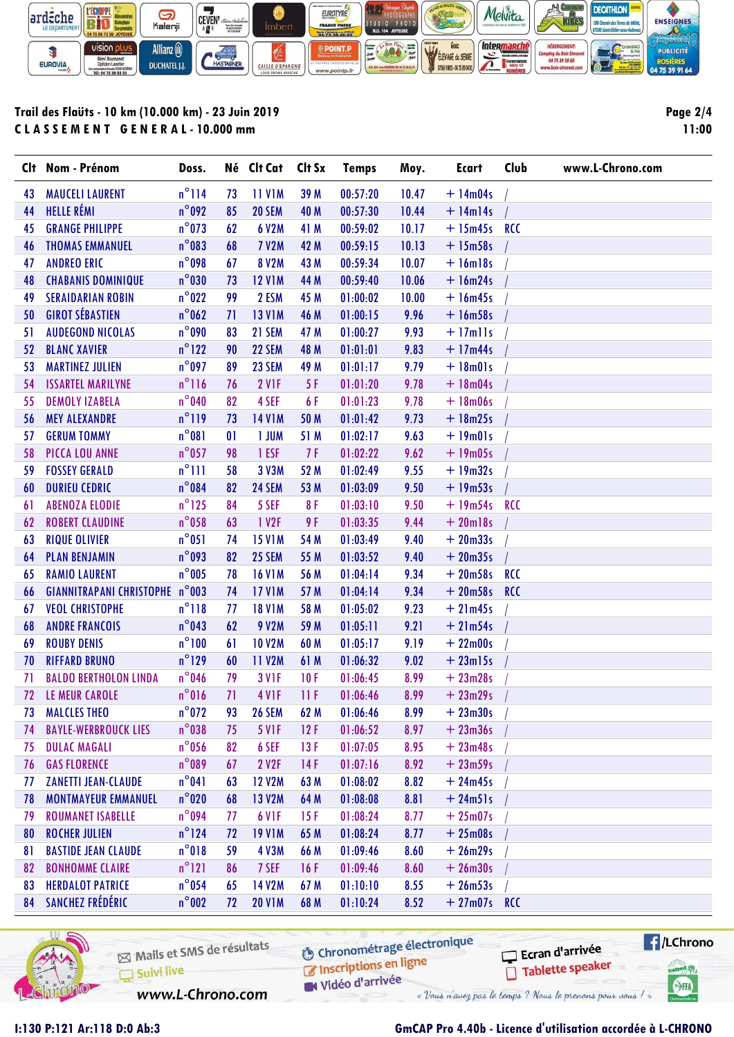

## Trail des Flaüts - 10 km (10.000 km) - 23 Juin 2019 CLASSEMENT GENERAL-10.000 mm

Page 2/4 11:00

|    | Clt Nom - Prénom                      | Doss.           |              | Né Clt Cat Clt Sx  |      | <b>Temps</b> | Moy.  | <b>Ecart</b>   | Club       | www.L-Chrono.com |
|----|---------------------------------------|-----------------|--------------|--------------------|------|--------------|-------|----------------|------------|------------------|
| 43 | <b>MAUCELI LAURENT</b>                | $n^{\circ}$ 114 | 73           | <b>11 V1M</b>      | 39 M | 00:57:20     | 10.47 | $+14m04s$      |            |                  |
| 44 | <b>HELLE RÉMI</b>                     | $n^{\circ}092$  | 85           | <b>20 SEM</b>      | 40 M | 00:57:30     | 10.44 | $+$ 14m14s     |            |                  |
| 45 | <b>GRANGE PHILIPPE</b>                | $n^{\circ}$ 073 | 62           | 6 V2M              | 41 M | 00:59:02     | 10.17 | $+ 15m45s$ RCC |            |                  |
| 46 | <b>THOMAS EMMANUEL</b>                | $n^{\circ}083$  | 68           | <b>7 V2M</b>       | 42 M | 00:59:15     | 10.13 | $+15m58s$      |            |                  |
| 47 | <b>ANDREO ERIC</b>                    | $n^{\circ}$ 098 | 67           | 8 V2M              | 43 M | 00:59:34     | 10.07 | $+16m18s$      |            |                  |
| 48 | <b>CHABANIS DOMINIQUE</b>             | $n^{\circ}030$  | 73           | <b>12 V1M</b>      | 44 M | 00:59:40     | 10.06 | $+ 16m24s$     |            |                  |
| 49 | <b>SERAIDARIAN ROBIN</b>              | $n^{\circ}$ 022 | 99           | 2 ESM              | 45 M | 01:00:02     | 10.00 | $+ 16m45s$     |            |                  |
| 50 | <b>GIROT SÉBASTIEN</b>                | $n^{\circ}$ 062 | 71           | <b>13 V1M</b>      | 46 M | 01:00:15     | 9.96  | $+16m58s$      |            |                  |
| 51 | <b>AUDEGOND NICOLAS</b>               | $n^{\circ}$ 090 | 83           | 21 SEM             | 47 M | 01:00:27     | 9.93  | $+17$ mlls     |            |                  |
| 52 | <b>BLANC XAVIER</b>                   | $n^{\circ}$ 122 | 90           | 22 SEM             | 48 M | 01:01:01     | 9.83  | $+17m44s$      |            |                  |
| 53 | <b>MARTINEZ JULIEN</b>                | $n^{\circ}$ 097 | 89           | 23 SEM             | 49 M | 01:01:17     | 9.79  | $+ 18m01s$     |            |                  |
| 54 | <b>ISSARTEL MARILYNE</b>              | $n^{\circ}116$  | 76           | <b>2 V1F</b>       | 5 F  | 01:01:20     | 9.78  | $+ 18m04s$     |            |                  |
| 55 | <b>DEMOLY IZABELA</b>                 | $n^{\circ}$ 040 | 82           | 4 SEF              | 6 F  | 01:01:23     | 9.78  | $+ 18m06s$     |            |                  |
| 56 | <b>MEY ALEXANDRE</b>                  | $n^{\circ}119$  | 73           | <b>14 V1M</b>      | 50 M | 01:01:42     | 9.73  | $+ 18m25s$     |            |                  |
| 57 | <b>GERUM TOMMY</b>                    | $n^{\circ}081$  | $\mathbf{0}$ | 1 JUM              | 51 M | 01:02:17     | 9.63  | $+ 19m01s$     |            |                  |
| 58 | PICCA LOU ANNE                        | $n^{\circ}$ 057 | 98           | 1 ESF              | 7F   | 01:02:22     | 9.62  | $+19m05s$      |            |                  |
| 59 | <b>FOSSEY GERALD</b>                  | $n^{\circ}$ 111 | 58           | 3 V3M              | 52 M | 01:02:49     | 9.55  | $+19m32s$      |            |                  |
| 60 | <b>DURIEU CEDRIC</b>                  | $n^{\circ}084$  | 82           | 24 SEM             | 53 M | 01:03:09     | 9.50  | $+19m53s$      |            |                  |
| 61 | <b>ABENOZA ELODIE</b>                 | $n^{\circ}$ 125 | 84           | 5 SEF              | 8F   | 01:03:10     | 9.50  | $+19m54s$      | RCC        |                  |
| 62 | <b>ROBERT CLAUDINE</b>                | $n^{\circ}$ 058 | 63           | 1 V <sub>2F</sub>  | 9F   | 01:03:35     | 9.44  | $+20$ ml8s     |            |                  |
| 63 | <b>RIQUE OLIVIER</b>                  | $n^{\circ}051$  | 74           | <b>15 V1M</b>      | 54 M | 01:03:49     | 9.40  | $+20m33s$      |            |                  |
| 64 | <b>PLAN BENJAMIN</b>                  | $n^{\circ}$ 093 | 82           | 25 SEM             | 55 M | 01:03:52     | 9.40  | $+20m35s$      |            |                  |
| 65 | <b>RAMIO LAURENT</b>                  | $n^{\circ}$ 005 | 78           | <b>16 V1M</b>      | 56 M | 01:04:14     | 9.34  | $+20m58s$      | <b>RCC</b> |                  |
| 66 | <b>GIANNITRAPANI CHRISTOPHE n°003</b> |                 | 74           | <b>17 V1M</b>      | 57 M | 01:04:14     | 9.34  | $+20m58s$      | <b>RCC</b> |                  |
| 67 | <b>VEOL CHRISTOPHE</b>                | $n^{\circ}118$  | 77           | <b>18 V1M</b>      | 58 M | 01:05:02     | 9.23  | $+21m45s$      |            |                  |
| 68 | <b><i>ANDRE FRANCOIS</i></b>          | $n^{\circ}$ 043 | 62           | 9 V2M              | 59 M | 01:05:11     | 9.21  | $+21m54s$      |            |                  |
| 69 | <b>ROUBY DENIS</b>                    | $n^{\circ}100$  | 61           | <b>10 V2M</b>      | 60 M | 01:05:17     | 9.19  | $+22m00s$      |            |                  |
| 70 | <b>RIFFARD BRUNO</b>                  | $n^{\circ}$ 129 | 60           | <b>11 V2M</b>      | 61 M | 01:06:32     | 9.02  | $+23m15s$      |            |                  |
| 71 | <b>BALDO BERTHOLON LINDA</b>          | $n^{\circ}$ 046 | 79           | 3 VIF              | 10F  | 01:06:45     | 8.99  | $+23m28s$      |            |                  |
| 72 | LE MEUR CAROLE                        | $n^{\circ}016$  | 71           | 4 VIF              | 11 F | 01:06:46     | 8.99  | $+23m29s$      |            |                  |
| 73 | <b>MALCLES THEO</b>                   | $n^{\circ}$ 072 | 93           | <b>26 SEM</b>      | 62 M | 01:06:46     | 8.99  | $+23m30s$      |            |                  |
| 74 | <b>BAYLE-WERBROUCK LIES</b>           | $n^{\circ}$ 038 | 75           | <b>5 V1F</b>       | 12F  | 01:06:52     | 8.97  | $+23m36s$      |            |                  |
| 75 | <b>DULAC MAGALI</b>                   | $n^{\circ}$ 056 | 82           | 6 SEF              | 13F  | 01:07:05     | 8.95  | $+23m48s$      |            |                  |
| 76 | <b>GAS FLORENCE</b>                   | $n^{\circ}089$  | 67           | 2 V2F              | 14F  | 01:07:16     | 8.92  | $+23m59s$      |            |                  |
| 77 | <b>ZANETTI JEAN-CLAUDE</b>            | $n^{\circ}041$  | 63           | <b>12 V2M</b>      | 63 M | 01:08:02     | 8.82  | $+24m45s$      |            |                  |
| 78 | <b>MONTMAYEUR EMMANUEL</b>            | $n^{\circ}$ 020 | 68           | <b>13 V2M</b>      | 64 M | 01:08:08     | 8.81  | $+24m51s$      |            |                  |
| 79 | <b>ROUMANET ISABELLE</b>              | $n^{\circ}$ 094 | 77           | 6 V <sub>1</sub> F | 15F  | 01:08:24     | 8.77  | $+25m07s$      |            |                  |
| 80 | <b>ROCHER JULIEN</b>                  | $n^{\circ}$ 124 | 72           | <b>19 V1M</b>      | 65 M | 01:08:24     | 8.77  | $+25m08s$      |            |                  |
| 81 | <b>BASTIDE JEAN CLAUDE</b>            | $n^{\circ}018$  | 59           | <b>4 V3M</b>       | 66 M | 01:09:46     | 8.60  | $+26m29s$      |            |                  |
| 82 | <b>BONHOMME CLAIRE</b>                | $n^{\circ}121$  | 86           | 7 SEF              | 16F  | 01:09:46     | 8.60  | $+26m30s$      |            |                  |
| 83 | <b>HERDALOT PATRICE</b>               | $n^{\circ}$ 054 | 65           | 14 V2M             | 67 M | 01:10:10     | 8.55  | $+26m53s$      |            |                  |
| 84 | SANCHEZ FRÉDÉRIC                      | $n^{\circ}$ 002 | 72           | <b>20 V1M</b>      | 68 M | 01:10:24     | 8.52  | $+27m07s$      | <b>RCC</b> |                  |
|    |                                       |                 |              |                    |      |              |       |                |            |                  |



Mails et SMS de résultats Suivi live

**6** Chronométrage électronique Inscriptions en ligne

Vidéo d'arrivée « Vous n'avez pas le temps ? Nous le prenons pour vous ! »

//LChrono Ecran d'arrivée Tablette speaker tabel<sub>()</sub>

**SHA** 

www.L-Chrono.com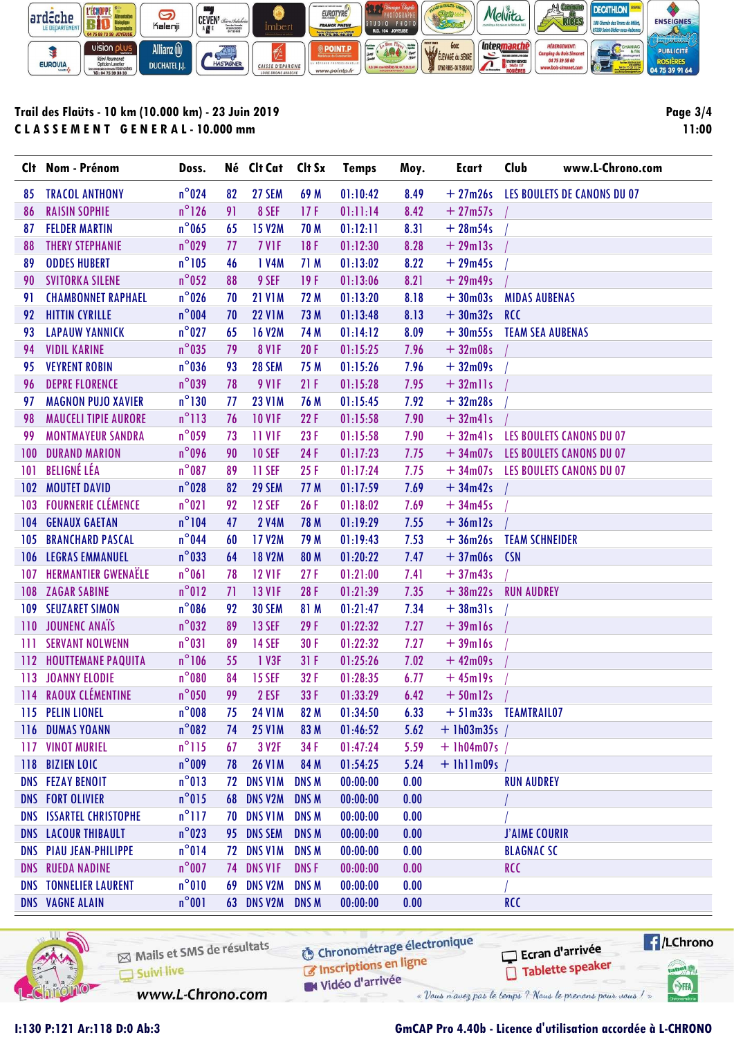

## Trail des Flaüts - 10 km (10.000 km) - 23 Juin 2019 CLASSEMENT GENERAL-10.000 mm

Page  $3/4$ 11:00

|     | Clt Nom - Prénom               | Doss.           |    | Né Clt Cat Clt Sx |              | <b>Temps</b> | Moy. | <b>Ecart</b>     | Club<br>www.L-Chrono.com             |  |
|-----|--------------------------------|-----------------|----|-------------------|--------------|--------------|------|------------------|--------------------------------------|--|
| 85  | <b>TRACOL ANTHONY</b>          | $n^{\circ}$ 024 | 82 | 27 SEM            | 69 M         | 01:10:42     | 8.49 |                  | + 27m26s LES BOULETS DE CANONS DU 07 |  |
| 86  | <b>RAISIN SOPHIE</b>           | $n^{\circ}$ 126 | 91 | 8 SEF             | 17F          | 01:11:14     | 8.42 | $+27m57s$        |                                      |  |
| 87  | <b>FELDER MARTIN</b>           | $n^{\circ}$ 065 | 65 | <b>15 V2M</b>     | 70 M         | 01:12:11     | 8.31 | $+28m54s$        |                                      |  |
| 88  | <b>THERY STEPHANIE</b>         | $n^{\circ}$ 029 | 77 | 7 V <sub>IF</sub> | 18F          | 01:12:30     | 8.28 | $+29m13s$        |                                      |  |
| 89  | <b>ODDES HUBERT</b>            | $n^{\circ}105$  | 46 | 1 V4M             | 71 M         | 01:13:02     | 8.22 | $+29m45s$        |                                      |  |
| 90  | <b>SVITORKA SILENE</b>         | $n^{\circ}$ 052 | 88 | 9 SEF             | 19F          | 01:13:06     | 8.21 | $+29m49s$        |                                      |  |
| 91  | <b>CHAMBONNET RAPHAEL</b>      | $n^{\circ}$ 026 | 70 | <b>21 V1M</b>     | 72 M         | 01:13:20     | 8.18 | $+30m03s$        | <b>MIDAS AUBENAS</b>                 |  |
| 92  | <b>HITTIN CYRILLE</b>          | $n^{\circ}$ 004 | 70 | <b>22 V1M</b>     | 73 M         | 01:13:48     | 8.13 | $+30m32s$ RCC    |                                      |  |
| 93  | <b>LAPAUW YANNICK</b>          | $n^{\circ}$ 027 | 65 | <b>16 V2M</b>     | 74 M         | 01:14:12     | 8.09 | $+30m55s$        | <b>TEAM SEA AUBENAS</b>              |  |
| 94  | <b>VIDIL KARINE</b>            | $n^{\circ}$ 035 | 79 | <b>8 V1F</b>      | 20F          | 01:15:25     | 7.96 | $+32m08s$        |                                      |  |
| 95  | <b>VEYRENT ROBIN</b>           | $n^{\circ}$ 036 | 93 | <b>28 SEM</b>     | 75 M         | 01:15:26     | 7.96 | $+32m09s$        |                                      |  |
| 96  | <b>DEPRE FLORENCE</b>          | $n^{\circ}$ 039 | 78 | <b>9 V1F</b>      | 21F          | 01:15:28     | 7.95 | $+32$ mlls       |                                      |  |
| 97  | <b>MAGNON PUJO XAVIER</b>      | $n^{\circ}130$  | 77 | <b>23 V1M</b>     | 76 M         | 01:15:45     | 7.92 | $+32m28s$        |                                      |  |
| 98  | <b>MAUCELI TIPIE AURORE</b>    | $n^{\circ}113$  | 76 | <b>10 V1F</b>     | 22F          | 01:15:58     | 7.90 | $+32m41s$        |                                      |  |
| 99  | <b>MONTMAYEUR SANDRA</b>       | $n^{\circ}$ 059 | 73 | <b>11 VIF</b>     | 23F          | 01:15:58     | 7.90 | $+32m41s$        | <b>LES BOULETS CANONS DU 07</b>      |  |
| 100 | <b>DURAND MARION</b>           | $n^{\circ}$ 096 | 90 | <b>10 SEF</b>     | 24 F         | 01:17:23     | 7.75 |                  | + 34m07s LES BOULETS CANONS DU 07    |  |
| 101 | <b>BELIGNÉ LÉA</b>             | $n^{\circ}$ 087 | 89 | 11 SEF            | 25F          | 01:17:24     | 7.75 |                  | + 34m07s LES BOULETS CANONS DU 07    |  |
| 102 | <b>MOUTET DAVID</b>            | $n^{\circ}$ 028 | 82 | 29 SEM            | 77 M         | 01:17:59     | 7.69 | $+34m42s$        |                                      |  |
| 103 | <b>FOURNERIE CLÉMENCE</b>      | $n^{\circ}021$  | 92 | <b>12 SEF</b>     | 26F          | 01:18:02     | 7.69 | $+34m45s$        |                                      |  |
| 104 | <b>GENAUX GAETAN</b>           | $n^{\circ}104$  | 47 | <b>2 V4M</b>      | 78 M         | 01:19:29     | 7.55 | $+36m12s$        |                                      |  |
| 105 | <b>BRANCHARD PASCAL</b>        | $n^{\circ}$ 044 | 60 | <b>17 V2M</b>     | 79 M         | 01:19:43     | 7.53 | $+36m26s$        | <b>TEAM SCHNEIDER</b>                |  |
| 106 | <b>LEGRAS EMMANUEL</b>         | $n^{\circ}$ 033 | 64 | <b>18 V2M</b>     | 80 M         | 01:20:22     | 7.47 | $+37m06s$        | <b>CSN</b>                           |  |
|     | <b>107 HERMANTIER GWENAËLE</b> | $n^{\circ}061$  | 78 | <b>12 V1F</b>     | 27F          | 01:21:00     | 7.41 | $+37m43s$        |                                      |  |
| 108 | <b>ZAGAR SABINE</b>            | $n^{\circ}012$  | 71 | <b>13 V1F</b>     | 28 F         | 01:21:39     | 7.35 | $+38m22s$        | <b>RUN AUDREY</b>                    |  |
| 109 | <b>SEUZARET SIMON</b>          | $n^{\circ}$ 086 | 92 | <b>30 SEM</b>     | 81 M         | 01:21:47     | 7.34 | $+38m31s$        |                                      |  |
|     | 110 JOUNENC ANAÏS              | $n^{\circ}$ 032 | 89 | <b>13 SEF</b>     | 29F          | 01:22:32     | 7.27 | $+39$ ml6s       |                                      |  |
| Ш   | <b>SERVANT NOLWENN</b>         | $n^{\circ}031$  | 89 | <b>14 SEF</b>     | 30 F         | 01:22:32     | 7.27 | $+39$ ml6s       |                                      |  |
| 112 | <b>HOUTTEMANE PAQUITA</b>      | $n^{\circ}106$  | 55 | 1 V3F             | 31F          | 01:25:26     | 7.02 | $+42m09s$        |                                      |  |
| 113 | <b>JOANNY ELODIE</b>           | $n^{\circ}080$  | 84 | <b>15 SEF</b>     | 32F          | 01:28:35     | 6.77 | $+45$ ml9s       |                                      |  |
|     | 114 RAOUX CLÉMENTINE           | $n^{\circ}$ 050 | 99 | 2 ESF             | 33 F         | 01:33:29     | 6.42 | $+50$ ml2s       |                                      |  |
|     | 115 PELIN LIONEL               | $n^{\circ}008$  | 75 | <b>24 V1M</b>     | 82 M         | 01:34:50     | 6.33 |                  | + 51m33s TEAMTRAIL07                 |  |
|     | <b>116 DUMAS YOANN</b>         | $n^{\circ}082$  | 74 | <b>25 V1M</b>     | 83 M         | 01:46:52     | 5.62 | $+$ 1h03m35s /   |                                      |  |
|     | <b>117 VINOT MURIEL</b>        | $n^{\circ}115$  | 67 | 3 V <sub>2F</sub> | 34 F         | 01:47:24     | 5.59 | $+$ 1h04m07s /   |                                      |  |
|     | 118 BIZIEN LOIC                | $n^{\circ}$ 009 | 78 | <b>26 V1M</b>     | 84 M         | 01:54:25     | 5.24 | $+$ 1h11m09s $/$ |                                      |  |
|     | <b>DNS FEZAY BENOIT</b>        | $n^{\circ}013$  | 72 | DNS V1M           | <b>DNS M</b> | 00:00:00     | 0.00 |                  | <b>RUN AUDREY</b>                    |  |
|     | <b>DNS FORT OLIVIER</b>        | $n^{\circ}015$  | 68 | DNS V2M           | <b>DNS M</b> | 00:00:00     | 0.00 |                  |                                      |  |
|     | <b>DNS ISSARTEL CHRISTOPHE</b> | $n^{\circ}$ 117 | 70 | <b>DNS V1M</b>    | <b>DNS M</b> | 00:00:00     | 0.00 |                  |                                      |  |
|     | <b>DNS LACOUR THIBAULT</b>     | $n^{\circ}$ 023 | 95 | <b>DNS SEM</b>    | <b>DNS M</b> | 00:00:00     | 0.00 |                  | <b>J'AIME COURIR</b>                 |  |
|     | <b>DNS PIAU JEAN-PHILIPPE</b>  | $n^{\circ}014$  | 72 | <b>DNS V1M</b>    | <b>DNS M</b> | 00:00:00     | 0.00 |                  | <b>BLAGNAC SC</b>                    |  |
|     | <b>DNS RUEDA NADINE</b>        | $n^{\circ}$ 007 | 74 | <b>DNS VIF</b>    | <b>DNSF</b>  | 00:00:00     | 0.00 |                  | <b>RCC</b>                           |  |
|     | <b>DNS TONNELIER LAURENT</b>   | $n^{\circ}010$  | 69 | DNS V2M           | <b>DNS M</b> | 00:00:00     | 0.00 |                  |                                      |  |
|     | <b>DNS VAGNE ALAIN</b>         | $n^{\circ}001$  |    | <b>63 DNS V2M</b> | <b>DNS M</b> | 00:00:00     | 0.00 |                  | <b>RCC</b>                           |  |



Mails et SMS de résultats Suivi live

**6** Chronométrage électronique

Vidéo d'arrivée

www.L-Chrono.com

Inscriptions en ligne

« Vous n'avez pas le temps ? Nous le prenons pour vous !

Ecran d'arrivée

Tablette speaker

//LChrono

tabel<sub>()</sub>

**SHA**